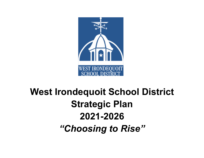

# **West Irondequoit School District Strategic Plan 2021-2026** *"Choosing to Rise"*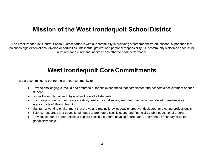# **Mission of the West Irondequoit SchoolDistrict**

The West Irondequoit Central School District partners with our community in providing a comprehensive educational experience that balances high expectations, diverse opportunities, intellectual growth, and personal responsibility. Our community welcomes each child, nurtures each mind, and inspires each other to peak performance

# **West Irondequoit Core Commitments**

We are committed to partnering with our community to:

- Provide challenging curricula and embrace authentic experiences that complement the academic achievement of each student.
- Foster the emotional and physical wellness of all students.
- Encourage students to embrace creativity, welcome challenges, learn from setbacks, and develop resilience as integral parts of lifelong learning.
- Maintain a working environment that draws and retains knowledgeable, creative, dedicated, and caring professionals.
- Balance resources and educational needs to promote a fiscally sound and financially stable educational program.
- $\bullet$  Provides students opportunities to explore possible careers, develop future paths, and hone 21<sup>st</sup> century skills for global citizenship.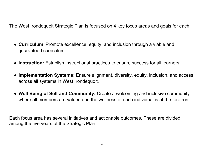The West Irondequoit Strategic Plan is focused on 4 key focus areas and goals for each:

- **Curriculum:** Promote excellence, equity, and inclusion through a viable and guaranteed curriculum
- **Instruction:** Establish instructional practices to ensure success for all learners.
- **Implementation Systems:** Ensure alignment, diversity, equity, inclusion, and access across all systems in West Irondequoit.
- **Well Being of Self and Community:** Create a welcoming and inclusive community where all members are valued and the wellness of each individual is at the forefront.

Each focus area has several initiatives and actionable outcomes. These are divided among the five years of the Strategic Plan.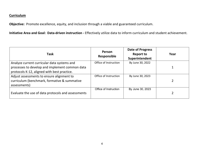**Objective:** Promote excellence, equity, and inclusion through a viable and guaranteed curriculum.

**Initiative Area and Goal: Data-driven instruction -** Effectively utilize data to inform curriculum and student achievement.

| <b>Task</b>                                                                                                                                  | Person<br>Responsible | <b>Date of Progress</b><br><b>Report to</b><br>Superintendent | Year |
|----------------------------------------------------------------------------------------------------------------------------------------------|-----------------------|---------------------------------------------------------------|------|
| Analyze current curricular data systems and<br>processes to develop and implement common data<br>protocols K-12, aligned with best practice. | Office of Instruction | By June 30, 2022                                              |      |
| Adjust assessments to ensure alignment to<br>curriculum (benchmark, formative & summative<br>assessments)                                    | Office of Instruction | By June 30, 2023                                              | 2    |
| Evaluate the use of data protocols and assessments                                                                                           | Office of Instruction | By June 30, 2023                                              |      |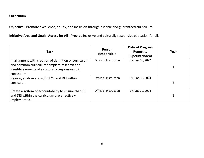**Objective:** Promote excellence, equity, and inclusion through a viable and guaranteed curriculum.

**Initiative Area and Goal: Access for All - Provide** Inclusive and culturally responsive education for all.

| <b>Task</b>                                                                                                                                                              | Person<br>Responsible | <b>Date of Progress</b><br><b>Report to</b><br>Superintendent | Year |
|--------------------------------------------------------------------------------------------------------------------------------------------------------------------------|-----------------------|---------------------------------------------------------------|------|
| In alignment with creation of definition of curriculum<br>and common curriculum template research and<br>identify elements of a culturally responsive (CR)<br>curriculum | Office of Instruction | By June 30, 2022                                              |      |
| Review, analyze and adjust CR and DEI within<br>curriculum                                                                                                               | Office of Instruction | By June 30, 2023                                              |      |
| Create a system of accountability to ensure that CR<br>and DEI within the curriculum are effectively<br>implemented.                                                     | Office of Instruction | By June 30, 2024                                              | 3    |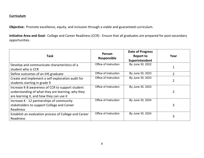**Objective:** Promote excellence, equity, and inclusion through a viable and guaranteed curriculum.

**Initiative Area and Goal:** College and Career Readiness (CCR) - Ensure that all graduates are prepared for post-secondary opportunities.

| <b>Task</b>                                           | Person<br><b>Responsible</b> | <b>Date of Progress</b><br><b>Report to</b><br>Superintendent | Year           |
|-------------------------------------------------------|------------------------------|---------------------------------------------------------------|----------------|
| Develop and communicate characteristics of a          | Office of Instruction        | By June 30, 2022                                              |                |
| student who is CCR                                    |                              |                                                               |                |
| Define outcomes of an IHS graduate                    | Office of Instruction        | By June 30, 2023                                              | $\overline{2}$ |
| Create and implement a self-exploration audit for     | Office of Instruction        | By June 30, 2023                                              |                |
| students starting in grade 9                          |                              |                                                               |                |
| Increase K-8 awareness of CCR to support student      | Office of Instruction        | By June 30, 2023                                              |                |
| understanding of what they are learning, why they     |                              |                                                               |                |
| are learning it, and how they can use it              |                              |                                                               |                |
| Increase K - 12 partnerships of community             | Office of Instruction        | By June 30, 2024                                              |                |
| stakeholders to support College and Career            |                              |                                                               | 3              |
| <b>Readiness</b>                                      |                              |                                                               |                |
| Establish an evaluation process of College and Career | Office of Instruction        | By June 30, 2024                                              | 3              |
| Readiness                                             |                              |                                                               |                |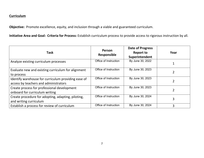**Objective:** Promote excellence, equity, and inclusion through a viable and guaranteed curriculum.

**Initiative Area and Goal: Criteria for Process:** Establish curriculum process to provide access to rigorous instruction by all.

| <b>Task</b>                                                                                  | Person<br>Responsible | <b>Date of Progress</b><br><b>Report to</b><br>Superintendent | Year           |
|----------------------------------------------------------------------------------------------|-----------------------|---------------------------------------------------------------|----------------|
| Analyze existing curriculum processes                                                        | Office of Instruction | By June 30, 2022                                              |                |
| Evaluate new and existing curriculum for alignment<br>to process                             | Office of Instruction | By June 30, 2023                                              |                |
| Identify warehouse for curriculum providing ease of<br>access by teachers and administrators | Office of Instruction | By June 30, 2023                                              | $\overline{2}$ |
| Create process for professional development<br>onboard for curriculum writing                | Office of Instruction | By June 30, 2023                                              | 2              |
| Create procedure for adopting, adapting, piloting,<br>and writing curriculum                 | Office of Instruction | By June 30, 2024                                              | 3              |
| Establish a process for review of curriculum                                                 | Office of Instruction | By June 30, 2024                                              | 3              |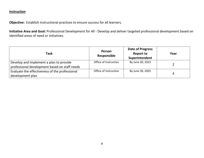**Objective:** Establish instructional practices to ensure success for all learners.

**Initiative Area and Goal:** Professional Development for All - Develop and deliver targeted professional development based on identified areas of need or initiatives.

| Task                                                                                     | Person<br>Responsible | <b>Date of Progress</b><br><b>Report to</b><br>Superintendent | Year |
|------------------------------------------------------------------------------------------|-----------------------|---------------------------------------------------------------|------|
| Develop and implement a plan to provide<br>professional development based on staff needs | Office of Instruction | By June 30, 2023                                              |      |
| Evaluate the effectiveness of the professional<br>development plan                       | Office of Instruction | By June 30, 2025                                              | 4    |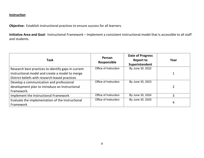**Objective:** Establish instructional practices to ensure success for all learners.

**Initiative Area and Goal:** Instructional Framework – Implement a consistent instructional model that is accessible to all staff and students.

| <b>Task</b>                                         | Person<br>Responsible | <b>Date of Progress</b><br><b>Report to</b><br>Superintendent | Year           |
|-----------------------------------------------------|-----------------------|---------------------------------------------------------------|----------------|
| Research best practices to identify gaps in current | Office of Instruction | By June 30, 2022                                              |                |
| instructional model and create a model to merge     |                       |                                                               |                |
| District beliefs with research-based practices      |                       |                                                               |                |
| Develop a communication and professional            | Office of Instruction | By June 30, 2023                                              |                |
| development plan to introduce an Instructional      |                       |                                                               | $\overline{2}$ |
| Framework.                                          |                       |                                                               |                |
| Implement the Instructional Framework               | Office of Instruction | By June 30, 2024                                              | 3              |
| Evaluate the implementation of the Instructional    | Office of Instruction | By June 30, 2025                                              |                |
| Framework                                           |                       |                                                               | 4              |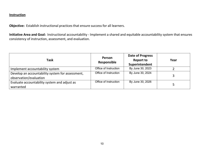**Objective:** Establish instructional practices that ensure success for all learners.

**Initiative Area and Goal:** Instructional accountability - Implement a shared and equitable accountability system that ensures consistency of instruction, assessment, and evaluation.

| <b>Task</b>                                                                | Person<br>Responsible | Date of Progress<br><b>Report to</b><br>Superintendent | Year |
|----------------------------------------------------------------------------|-----------------------|--------------------------------------------------------|------|
| Implement accountability system                                            | Office of Instruction | By June 30, 2023                                       |      |
| Develop an accountability system for assessment,<br>observation/evaluation | Office of Instruction | By June 30, 2024                                       | 3    |
| Evaluate accountability system and adjust as<br>warranted                  | Office of Instruction | By June 30, 2026                                       |      |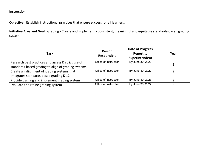**Objective:** Establish instructional practices that ensure success for all learners.

**Initiative Area and Goal:** Grading - Create and implement a consistent, meaningful and equitable standards-based grading system.

| <b>Task</b>                                                                                               | Person<br>Responsible | <b>Date of Progress</b><br><b>Report to</b><br>Superintendent | Year |
|-----------------------------------------------------------------------------------------------------------|-----------------------|---------------------------------------------------------------|------|
| Research best practices and assess District use of<br>standards-based grading to align of grading systems | Office of Instruction | By June 30, 2022                                              |      |
| Create an alignment of grading systems that<br>integrates standards-based grading K-12.                   | Office of Instruction | By June 30, 2022                                              |      |
| Provide training and implement grading system                                                             | Office of Instruction | By June 30, 2023                                              |      |
| Evaluate and refine grading system                                                                        | Office of Instruction | By June 30, 2024                                              |      |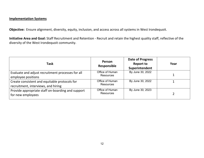**Objective:** Ensure alignment, diversity, equity, inclusion, and access across all systems in West Irondequoit.

**Initiative Area and Goal:** Staff Recruitment and Retention - Recruit and retain the highest quality staff, reflective of the diversity of the West Irondequoit community.

| <b>Task</b>                                                                          | <b>Person</b><br>Responsible        | <b>Date of Progress</b><br><b>Report to</b><br>Superintendent | Year |
|--------------------------------------------------------------------------------------|-------------------------------------|---------------------------------------------------------------|------|
| Evaluate and adjust recruitment processes for all<br>employee positions              | Office of Human<br><b>Resources</b> | By June 30, 2022                                              |      |
| Create consistent and equitable protocols for<br>recruitment, interviews, and hiring | Office of Human<br><b>Resources</b> | By June 30, 2022                                              |      |
| Provide appropriate staff on-boarding and support<br>for new employees               | Office of Human<br><b>Resources</b> | By June 30, 2023                                              |      |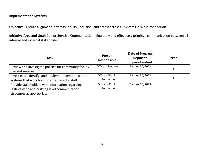**Objective:** Ensure alignment, diversity, equity, inclusion, and access across all systems in West Irondequoit.

**Initiative Area and Goal:** Comprehensive Communication - Equitably and effectively prioritize communication between all internal and external stakeholders.

| <b>Task</b>                                                                                                                    | Person<br>Responsible           | <b>Date of Progress</b><br><b>Report to</b><br>Superintendent | Year |
|--------------------------------------------------------------------------------------------------------------------------------|---------------------------------|---------------------------------------------------------------|------|
| Review and investigate policies for community facility<br>use and services                                                     | Office of Finance               | By June 30, 2022                                              |      |
| Investigate, identify, and implement communication<br>systems that work for students, parents, staff                           | Office of Public<br>Information | By June 30, 2022                                              |      |
| Provide stakeholders with information regarding<br>District-wide and building level communication<br>structures as appropriate | Office of Public<br>Information | By June 30, 2023                                              |      |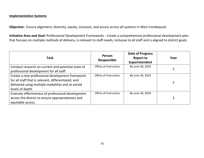**Objective:** Ensure alignment, diversity, equity, inclusion, and access across all systems in West Irondequoit.

**Initiative Area and Goal:** Professional Development Frameworks - Create a comprehensive professional development plan that focuses on multiple methods of delivery, is relevant to staff needs, inclusive to all staff and is aligned to district goals.

| <b>Task</b>                                                                                                                                                                    | Person<br><b>Responsible</b> | <b>Date of Progress</b><br><b>Report to</b><br>Superintendent | Year |
|--------------------------------------------------------------------------------------------------------------------------------------------------------------------------------|------------------------------|---------------------------------------------------------------|------|
| Conduct research on current and potential state of<br>professional development for all staff                                                                                   | Office of Instruction        | By June 30, 2023                                              |      |
| Create a new professional development framework<br>for all staff that is relevant, differentiated, and<br>delivered using multiple modalities and at varied<br>levels of depth | Office of Instruction        | By June 30, 2023                                              |      |
| Evaluate effectiveness of professional development<br>across the district to ensure appropriateness and<br>equitable access.                                                   | Office of Instruction        | By June 30, 2024                                              | 3    |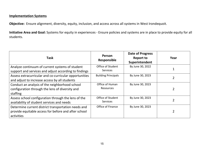**Objective:** Ensure alignment, diversity, equity, inclusion, and access across all systems in West Irondequoit.

**Initiative Area and Goal:** Systems for equity in experiences - Ensure policies and systems are in place to provide equity for all students.

| <b>Task</b>                                                                                                               | Person<br>Responsible                | <b>Date of Progress</b><br><b>Report to</b><br>Superintendent | Year           |
|---------------------------------------------------------------------------------------------------------------------------|--------------------------------------|---------------------------------------------------------------|----------------|
| Analyze continuum of current systems of student<br>support and services and adjust according to findings                  | Office of Student<br><b>Services</b> | By June 30, 2022                                              |                |
| Assess extracurricular and co-curricular opportunities<br>and adjust to increase access by all students                   | <b>Building Principals</b>           | By June 30, 2023                                              |                |
| Conduct an analysis of the neighborhood school<br>configuration through the lens of diversity and<br>staffing             | Office of Human<br>Resources         | By June 30, 2023                                              | $\overline{2}$ |
| Assess school configuration through the lens of the<br>availability of student services and needs                         | Office of Student<br><b>Services</b> | By June 30, 2023                                              |                |
| Determine current district transportation needs and<br>provide equitable access for before and after school<br>activities | Office of Finance                    | By June 30, 2023                                              |                |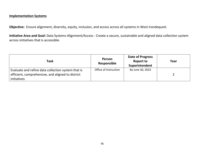**Objective:** Ensure alignment, diversity, equity, inclusion, and access across all systems in West Irondequoit.

**Initiative Area and Goal:** Data Systems Alignment/Access - Create a secure, sustainable and aligned data collection system across initiatives that is accessible.

| <b>Task</b>                                                                                                            | Person<br>Responsible | <b>Date of Progress</b><br><b>Report to</b><br>Superintendent | Year |
|------------------------------------------------------------------------------------------------------------------------|-----------------------|---------------------------------------------------------------|------|
| Evaluate and refine data collection system that is<br>efficient, comprehensive, and aligned to district<br>initiatives | Office of Instruction | By June 30, 2023                                              |      |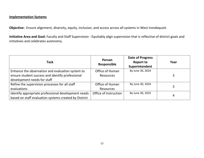**Objective:** Ensure alignment, diversity, equity, inclusion, and access across all systems in West Irondequoit.

**Initiative Area and Goal:** Faculty and Staff Supervision - Equitably align supervision that is reflective of district goals and initiatives and celebrates autonomy.

| <b>Task</b>                                           | Person<br>Responsible | <b>Date of Progress</b><br><b>Report to</b><br>Superintendent | Year |
|-------------------------------------------------------|-----------------------|---------------------------------------------------------------|------|
| Enhance the observation and evaluation system to      | Office of Human       | By June 30, 2024                                              |      |
| ensure student success and identify professional      | <b>Resources</b>      |                                                               | 3    |
| development needs for staff                           |                       |                                                               |      |
| Refine the supervision processes for all staff        | Office of Human       | By June 30, 2024                                              |      |
| evaluations                                           | <b>Resources</b>      |                                                               | 3    |
| Identify appropriate professional development needs   | Office of Instruction | By June 30, 2025                                              |      |
| based on staff evaluation systems created by District |                       |                                                               | 4    |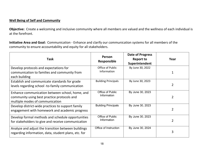**Objective:** Create a welcoming and inclusive community where all members are valued and the wellness of each individual is at the forefront.

**Initiative Area and Goal:** Communication - Enhance and clarify our communication systems for all members of the community to ensure accountability and equity for all stakeholders.

| <b>Task</b>                                                                                                                       | Person<br>Responsible           | <b>Date of Progress</b><br><b>Report to</b><br>Superintendent | Year           |
|-----------------------------------------------------------------------------------------------------------------------------------|---------------------------------|---------------------------------------------------------------|----------------|
| Develop protocols and expectations for<br>communication to families and community from<br>each building                           | Office of Public<br>Information | By June 30, 2022                                              |                |
| Establish and communicate standards for grade<br>levels regarding school -to-family communication                                 | <b>Building Principals</b>      | By June 30, 2023                                              | $\overline{2}$ |
| Enhance communication between school, home, and<br>community using best practice protocols and<br>multiple modes of communication | Office of Public<br>Information | By June 30, 2023                                              | $\overline{2}$ |
| Develop district-wide practices to support family<br>engagement with homework and academic progress                               | <b>Building Principals</b>      | By June 30, 2023                                              | $\overline{2}$ |
| Develop formal methods and schedule opportunities<br>for stakeholders to give and receive communication                           | Office of Public<br>Information | By June 30, 2023                                              | $\overline{2}$ |
| Analyze and adjust the transition between buildings<br>regarding information, data, student plans, etc. for                       | Office of Instruction           | By June 30, 2024                                              | 3              |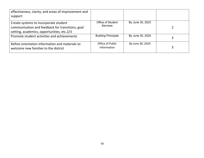| effectiveness, clarity, and areas of improvement and<br>support                         |                                        |                  |   |
|-----------------------------------------------------------------------------------------|----------------------------------------|------------------|---|
|                                                                                         |                                        |                  |   |
| Create systems to incorporate student                                                   | Office of Student<br><b>Services</b>   | By June 30, 2023 |   |
| communication and feedback for transitions, goal                                        |                                        |                  |   |
| setting, academics, opportunities, etc.2/3                                              |                                        |                  |   |
| Promote student activities and achievements                                             | <b>Building Principals</b>             | By June 30, 2024 | 3 |
| Refine orientation information and materials to<br>welcome new families to the district | Office of Public<br><b>Information</b> | By June 30, 2024 | 3 |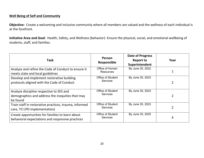**Objective:** Create a welcoming and inclusive community where all members are valued and the wellness of each individual is at the forefront.

**Initiative Area and Goal:** Health, Safety, and Wellness (behavior)- Ensure the physical, social, and emotional wellbeing of students, staff, and families.

| <b>Task</b>                                                                                              | Person<br><b>Responsible</b>                | Date of Progress<br><b>Report to</b><br>Superintendent | Year           |
|----------------------------------------------------------------------------------------------------------|---------------------------------------------|--------------------------------------------------------|----------------|
| Analyze and refine the Code of Conduct to ensure it<br>meets state and local guidelines                  | Office of Human<br><b>Resources</b>         | By June 30, 2022                                       |                |
| Develop and implement restorative building<br>protocols aligned with the Code of Conduct                 | <b>Office of Student</b><br><b>Services</b> | By June 30, 2023                                       |                |
| Analyze discipline respective to SES and<br>demographics and address the inequities that may<br>be found | Office of Student<br><b>Services</b>        | By June 30, 2023                                       | $\overline{2}$ |
| Train staff in restorative practices, trauma, informed<br>care, TCI (PD implementation)                  | <b>Office of Student</b><br><b>Services</b> | By June 30, 2023                                       |                |
| Create opportunities for families to learn about<br>behavioral expectations and responsive practices     | <b>Office of Student</b><br><b>Services</b> | By June 30, 2025                                       | 4              |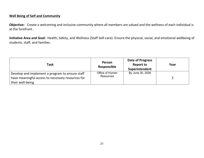**Objective:** Create a welcoming and inclusive community where all members are valued and the wellness of each individual is at the forefront.

**Initiative Area and Goal:** Health, Safety, and Wellness (Staff Self-care)- Ensure the physical, social, and emotional wellbeing of students, staff, and families.

| <b>Task</b>                                                                                                              | <b>Person</b><br>Responsible        | <b>Date of Progress</b><br><b>Report to</b><br>Superintendent | Year |
|--------------------------------------------------------------------------------------------------------------------------|-------------------------------------|---------------------------------------------------------------|------|
| Develop and implement a program to ensure staff<br>have meaningful access to necessary resources for<br>their well-being | Office of Human<br><b>Resources</b> | By June 30, 2026                                              |      |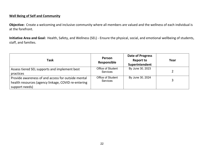**Objective:** Create a welcoming and inclusive community where all members are valued and the wellness of each individual is at the forefront.

**Initiative Area and Goal:** Health, Safety, and Wellness (SEL) - Ensure the physical, social, and emotional wellbeing of students, staff, and families.

| <b>Task</b>                                                                                                                 | Person<br>Responsible                | <b>Date of Progress</b><br><b>Report to</b><br>Superintendent | Year |
|-----------------------------------------------------------------------------------------------------------------------------|--------------------------------------|---------------------------------------------------------------|------|
| Assess tiered SEL supports and implement best<br>practices                                                                  | Office of Student<br><b>Services</b> | By June 30, 2023                                              |      |
| Provide awareness of and access for outside mental<br>health resources (agency linkage, COVID re-entering<br>support needs) | Office of Student<br><b>Services</b> | By June 30, 2024                                              | 3    |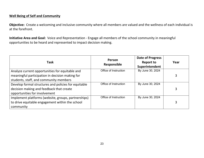**Objective:** Create a welcoming and inclusive community where all members are valued and the wellness of each individual is at the forefront.

**Initiative Area and Goal:** Voice and Representation - Engage all members of the school community in meaningful opportunities to be heard and represented to impact decision making.

| <b>Task</b>                                          | Person<br>Responsible | <b>Date of Progress</b><br><b>Report to</b><br>Superintendent | Year |
|------------------------------------------------------|-----------------------|---------------------------------------------------------------|------|
| Analyze current opportunities for equitable and      | Office of Instruction | By June 30, 2024                                              |      |
| meaningful participation in decision making for      |                       |                                                               | 3    |
| students, staff, and community members               |                       |                                                               |      |
| Develop formal structures and policies for equitable | Office of Instruction | By June 30, 2024                                              |      |
| decision making and feedback that create             |                       |                                                               | 3    |
| opportunities for involvement                        |                       |                                                               |      |
| Implement platforms (website, groups, partnerships)  | Office of Instruction | By June 30, 2024                                              |      |
| to drive equitable engagement within the school      |                       |                                                               | 3    |
| community                                            |                       |                                                               |      |